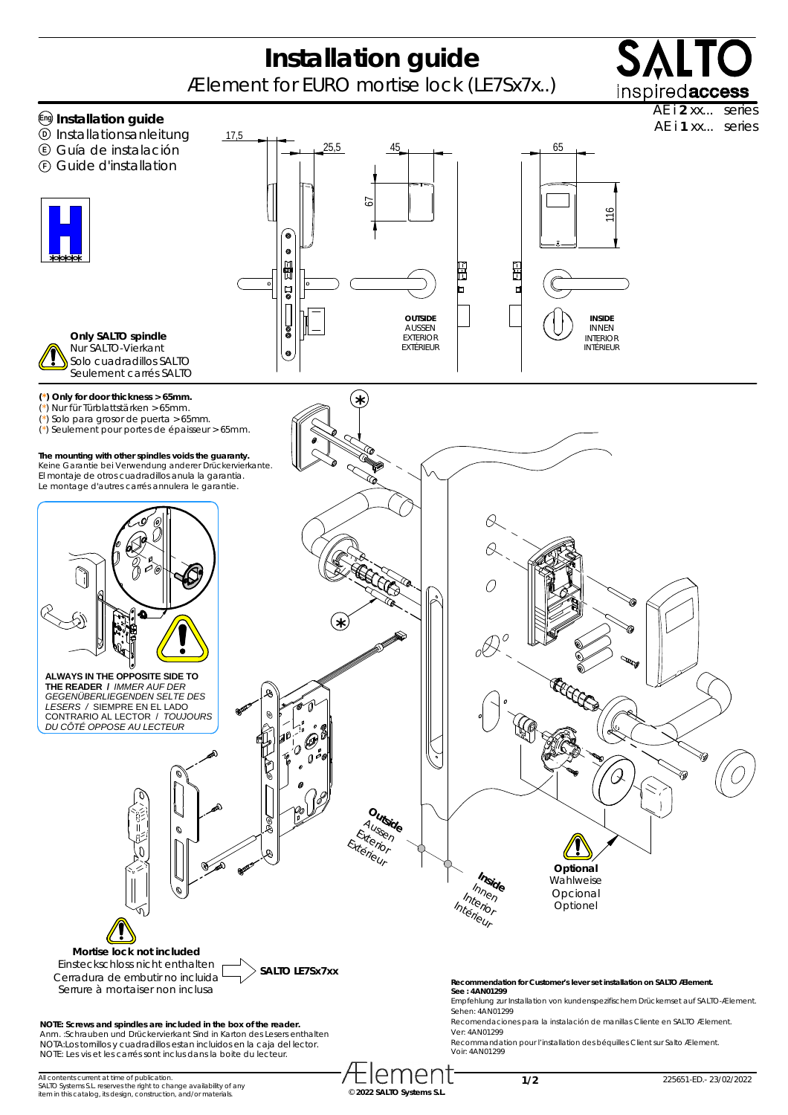## **Installation guide**

Ælement for EURO mortise lock (LE7Sx7x..)



AE i **2** xx... series



me

**1/2**